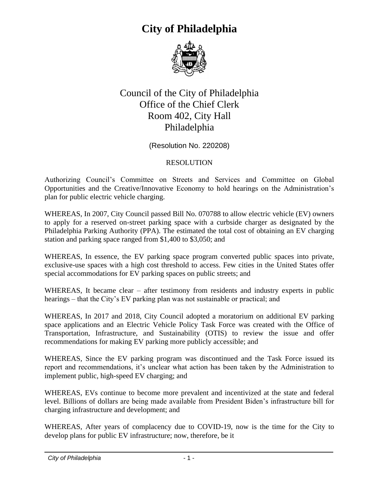

#### Council of the City of Philadelphia Office of the Chief Clerk Room 402, City Hall Philadelphia

(Resolution No. 220208)

#### RESOLUTION

Authorizing Council's Committee on Streets and Services and Committee on Global Opportunities and the Creative/Innovative Economy to hold hearings on the Administration's plan for public electric vehicle charging.

WHEREAS, In 2007, City Council passed Bill No. 070788 to allow electric vehicle (EV) owners to apply for a reserved on-street parking space with a curbside charger as designated by the Philadelphia Parking Authority (PPA). The estimated the total cost of obtaining an EV charging station and parking space ranged from \$1,400 to \$3,050; and

WHEREAS, In essence, the EV parking space program converted public spaces into private, exclusive-use spaces with a high cost threshold to access. Few cities in the United States offer special accommodations for EV parking spaces on public streets; and

WHEREAS, It became clear – after testimony from residents and industry experts in public hearings – that the City's EV parking plan was not sustainable or practical; and

WHEREAS, In 2017 and 2018, City Council adopted a moratorium on additional EV parking space applications and an Electric Vehicle Policy Task Force was created with the Office of Transportation, Infrastructure, and Sustainability (OTIS) to review the issue and offer recommendations for making EV parking more publicly accessible; and

WHEREAS, Since the EV parking program was discontinued and the Task Force issued its report and recommendations, it's unclear what action has been taken by the Administration to implement public, high-speed EV charging; and

WHEREAS, EVs continue to become more prevalent and incentivized at the state and federal level. Billions of dollars are being made available from President Biden's infrastructure bill for charging infrastructure and development; and

WHEREAS, After years of complacency due to COVID-19, now is the time for the City to develop plans for public EV infrastructure; now, therefore, be it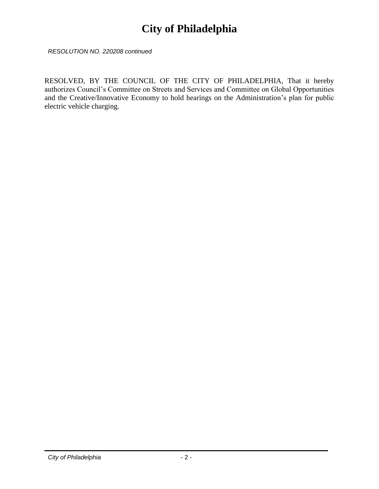*RESOLUTION NO. 220208 continued*

RESOLVED, BY THE COUNCIL OF THE CITY OF PHILADELPHIA, That it hereby authorizes Council's Committee on Streets and Services and Committee on Global Opportunities and the Creative/Innovative Economy to hold hearings on the Administration's plan for public electric vehicle charging.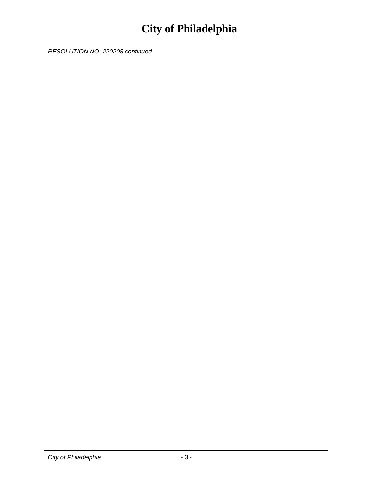*RESOLUTION NO. 220208 continued*